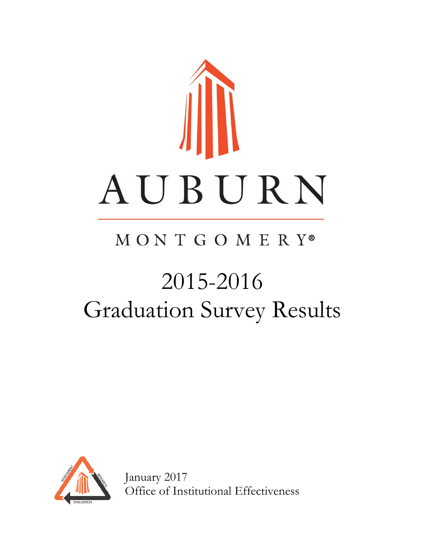

# MONTGOMERY®

# 2015-2016 Graduation Survey Results



January 2017 Office of Institutional Effectiveness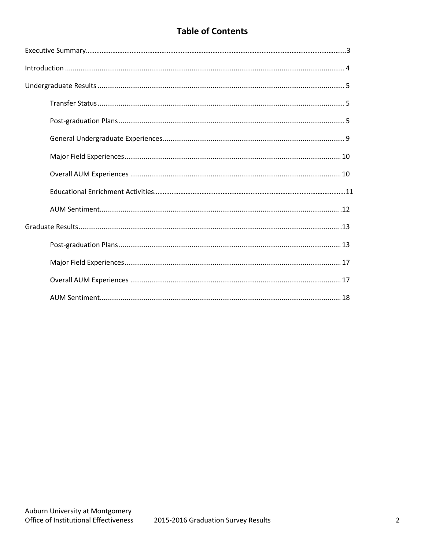# **Table of Contents**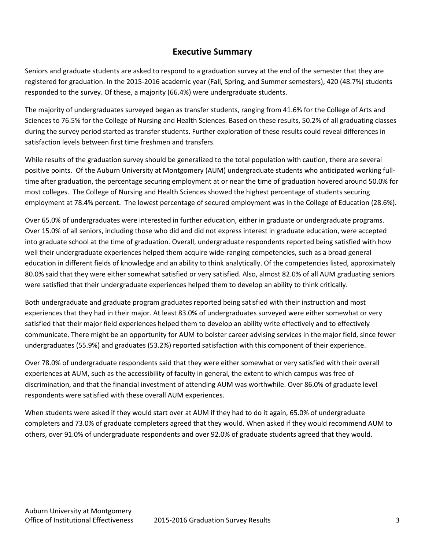### **Executive Summary**

Seniors and graduate students are asked to respond to a graduation survey at the end of the semester that they are registered for graduation. In the 2015-2016 academic year (Fall, Spring, and Summer semesters), 420 (48.7%) students responded to the survey. Of these, a majority (66.4%) were undergraduate students.

The majority of undergraduates surveyed began as transfer students, ranging from 41.6% for the College of Arts and Sciences to 76.5% for the College of Nursing and Health Sciences. Based on these results, 50.2% of all graduating classes during the survey period started as transfer students. Further exploration of these results could reveal differences in satisfaction levels between first time freshmen and transfers.

While results of the graduation survey should be generalized to the total population with caution, there are several positive points. Of the Auburn University at Montgomery (AUM) undergraduate students who anticipated working fulltime after graduation, the percentage securing employment at or near the time of graduation hovered around 50.0% for most colleges. The College of Nursing and Health Sciences showed the highest percentage of students securing employment at 78.4% percent. The lowest percentage of secured employment was in the College of Education (28.6%).

Over 65.0% of undergraduates were interested in further education, either in graduate or undergraduate programs. Over 15.0% of all seniors, including those who did and did not express interest in graduate education, were accepted into graduate school at the time of graduation. Overall, undergraduate respondents reported being satisfied with how well their undergraduate experiences helped them acquire wide-ranging competencies, such as a broad general education in different fields of knowledge and an ability to think analytically. Of the competencies listed, approximately 80.0% said that they were either somewhat satisfied or very satisfied. Also, almost 82.0% of all AUM graduating seniors were satisfied that their undergraduate experiences helped them to develop an ability to think critically.

Both undergraduate and graduate program graduates reported being satisfied with their instruction and most experiences that they had in their major. At least 83.0% of undergraduates surveyed were either somewhat or very satisfied that their major field experiences helped them to develop an ability write effectively and to effectively communicate. There might be an opportunity for AUM to bolster career advising services in the major field, since fewer undergraduates (55.9%) and graduates (53.2%) reported satisfaction with this component of their experience.

Over 78.0% of undergraduate respondents said that they were either somewhat or very satisfied with their overall experiences at AUM, such as the accessibility of faculty in general, the extent to which campus was free of discrimination, and that the financial investment of attending AUM was worthwhile. Over 86.0% of graduate level respondents were satisfied with these overall AUM experiences.

When students were asked if they would start over at AUM if they had to do it again, 65.0% of undergraduate completers and 73.0% of graduate completers agreed that they would. When asked if they would recommend AUM to others, over 91.0% of undergraduate respondents and over 92.0% of graduate students agreed that they would.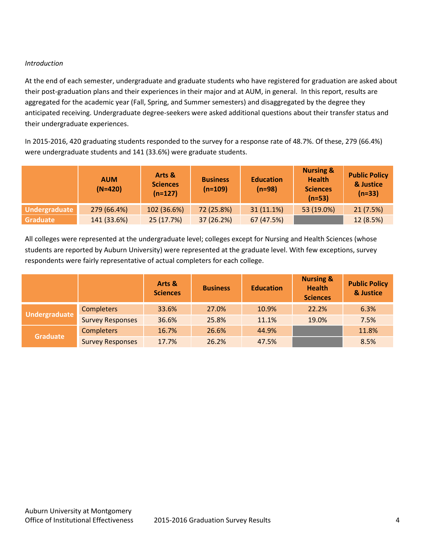#### *Introduction*

At the end of each semester, undergraduate and graduate students who have registered for graduation are asked about their post-graduation plans and their experiences in their major and at AUM, in general. In this report, results are aggregated for the academic year (Fall, Spring, and Summer semesters) and disaggregated by the degree they anticipated receiving. Undergraduate degree-seekers were asked additional questions about their transfer status and their undergraduate experiences.

In 2015-2016, 420 graduating students responded to the survey for a response rate of 48.7%. Of these, 279 (66.4%) were undergraduate students and 141 (33.6%) were graduate students.

|                 | <b>AUM</b><br>$(N=420)$ | Arts &<br><b>Sciences</b><br>$(n=127)$ | <b>Business</b><br>$(n=109)$ | <b>Education</b><br>$(n=98)$ | <b>Nursing &amp;</b><br><b>Health</b><br><b>Sciences</b><br>$(n=53)$ | <b>Public Policy</b><br>& Justice<br>$(n=33)$ |
|-----------------|-------------------------|----------------------------------------|------------------------------|------------------------------|----------------------------------------------------------------------|-----------------------------------------------|
| Undergraduate   | 279 (66.4%)             | 102 (36.6%)                            | 72 (25.8%)                   | $31(11.1\%)$                 | 53 (19.0%)                                                           | 21(7.5%)                                      |
| <b>Graduate</b> | 141 (33.6%)             | 25 (17.7%)                             | 37 (26.2%)                   | 67 (47.5%)                   |                                                                      | 12 (8.5%)                                     |

All colleges were represented at the undergraduate level; colleges except for Nursing and Health Sciences (whose students are reported by Auburn University) were represented at the graduate level. With few exceptions, survey respondents were fairly representative of actual completers for each college.

|                 |                         | Arts &<br><b>Sciences</b> | <b>Business</b> | <b>Education</b> | <b>Nursing &amp;</b><br><b>Health</b><br><b>Sciences</b> | <b>Public Policy</b><br>& Justice |
|-----------------|-------------------------|---------------------------|-----------------|------------------|----------------------------------------------------------|-----------------------------------|
| Undergraduate   | <b>Completers</b>       | 33.6%                     | 27.0%           | 10.9%            | 22.2%                                                    | 6.3%                              |
|                 | <b>Survey Responses</b> | 36.6%                     | 25.8%           | 11.1%            | 19.0%                                                    | 7.5%                              |
|                 | <b>Completers</b>       | 16.7%                     | 26.6%           | 44.9%            |                                                          | 11.8%                             |
| <b>Graduate</b> | <b>Survey Responses</b> | 17.7%                     | 26.2%           | 47.5%            |                                                          | 8.5%                              |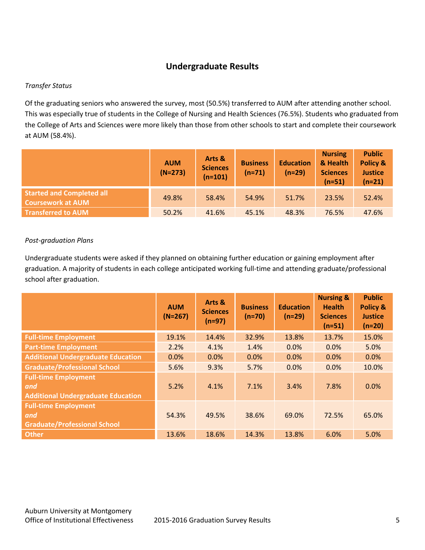## **Undergraduate Results**

#### *Transfer Status*

Of the graduating seniors who answered the survey, most (50.5%) transferred to AUM after attending another school. This was especially true of students in the College of Nursing and Health Sciences (76.5%). Students who graduated from the College of Arts and Sciences were more likely than those from other schools to start and complete their coursework at AUM (58.4%).

|                                                              | <b>AUM</b><br>$(N=273)$ | Arts &<br><b>Sciences</b><br>$(n=101)$ | <b>Business</b><br>$(n=71)$ | <b>Education</b><br>$(n=29)$ | <b>Nursing</b><br>& Health<br><b>Sciences</b><br>$(n=51)$ | <b>Public</b><br>Policy &<br><b>Justice</b><br>$(n=21)$ |
|--------------------------------------------------------------|-------------------------|----------------------------------------|-----------------------------|------------------------------|-----------------------------------------------------------|---------------------------------------------------------|
| <b>Started and Completed all</b><br><b>Coursework at AUM</b> | 49.8%                   | 58.4%                                  | 54.9%                       | 51.7%                        | 23.5%                                                     | 52.4%                                                   |
| <b>Transferred to AUM</b>                                    | 50.2%                   | 41.6%                                  | 45.1%                       | 48.3%                        | 76.5%                                                     | 47.6%                                                   |

#### *Post-graduation Plans*

Undergraduate students were asked if they planned on obtaining further education or gaining employment after graduation. A majority of students in each college anticipated working full-time and attending graduate/professional school after graduation.

|                                                                                 | <b>AUM</b><br>$(N=267)$ | Arts &<br><b>Sciences</b><br>$(n=97)$ | <b>Business</b><br>$(n=70)$ | <b>Education</b><br>$(n=29)$ | <b>Nursing &amp;</b><br><b>Health</b><br><b>Sciences</b><br>$(n=51)$ | <b>Public</b><br><b>Policy &amp;</b><br><b>Justice</b><br>$(n=20)$ |
|---------------------------------------------------------------------------------|-------------------------|---------------------------------------|-----------------------------|------------------------------|----------------------------------------------------------------------|--------------------------------------------------------------------|
| <b>Full-time Employment</b>                                                     | 19.1%                   | 14.4%                                 | 32.9%                       | 13.8%                        | 13.7%                                                                | 15.0%                                                              |
| <b>Part-time Employment</b>                                                     | 2.2%                    | 4.1%                                  | 1.4%                        | 0.0%                         | 0.0%                                                                 | 5.0%                                                               |
| <b>Additional Undergraduate Education</b>                                       | 0.0%                    | 0.0%                                  | 0.0%                        | 0.0%                         | 0.0%                                                                 | 0.0%                                                               |
| <b>Graduate/Professional School</b>                                             | 5.6%                    | 9.3%                                  | 5.7%                        | 0.0%                         | 0.0%                                                                 | 10.0%                                                              |
| <b>Full-time Employment</b><br>and<br><b>Additional Undergraduate Education</b> | 5.2%                    | 4.1%                                  | 7.1%                        | 3.4%                         | 7.8%                                                                 | 0.0%                                                               |
| <b>Full-time Employment</b><br>and<br><b>Graduate/Professional School</b>       | 54.3%                   | 49.5%                                 | 38.6%                       | 69.0%                        | 72.5%                                                                | 65.0%                                                              |
| <b>Other</b>                                                                    | 13.6%                   | 18.6%                                 | 14.3%                       | 13.8%                        | 6.0%                                                                 | 5.0%                                                               |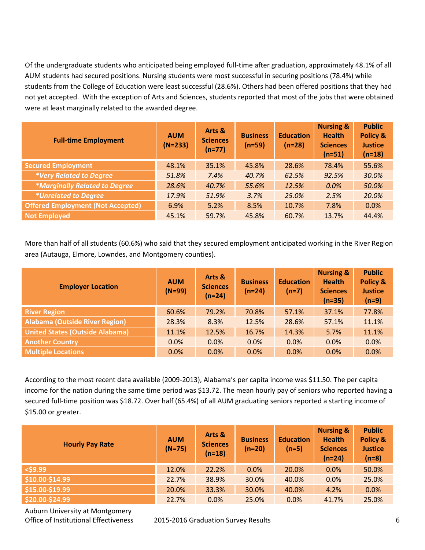Of the undergraduate students who anticipated being employed full-time after graduation, approximately 48.1% of all AUM students had secured positions. Nursing students were most successful in securing positions (78.4%) while students from the College of Education were least successful (28.6%). Others had been offered positions that they had not yet accepted. With the exception of Arts and Sciences, students reported that most of the jobs that were obtained were at least marginally related to the awarded degree.

| <b>Full-time Employment</b>                 | <b>AUM</b><br>$(N=233)$ | Arts &<br><b>Sciences</b><br>$(n=77)$ | <b>Business</b><br>$(n=59)$ | <b>Education</b><br>$(n=28)$ | <b>Nursing &amp;</b><br><b>Health</b><br><b>Sciences</b><br>$(n=51)$ | <b>Public</b><br>Policy &<br><b>Justice</b><br>$(n=18)$ |
|---------------------------------------------|-------------------------|---------------------------------------|-----------------------------|------------------------------|----------------------------------------------------------------------|---------------------------------------------------------|
| <b>Secured Employment</b>                   | 48.1%                   | 35.1%                                 | 45.8%                       | 28.6%                        | 78.4%                                                                | 55.6%                                                   |
| *Very Related to Degree                     | 51.8%                   | 7.4%                                  | 40.7%                       | 62.5%                        | 92.5%                                                                | 30.0%                                                   |
| <i><b>*Marginally Related to Degree</b></i> | 28.6%                   | 40.7%                                 | 55.6%                       | 12.5%                        | 0.0%                                                                 | 50.0%                                                   |
| <i>*Unrelated to Degree</i>                 | 17.9%                   | 51.9%                                 | 3.7%                        | 25.0%                        | 2.5%                                                                 | 20.0%                                                   |
| <b>Offered Employment (Not Accepted)</b>    | 6.9%                    | 5.2%                                  | 8.5%                        | 10.7%                        | 7.8%                                                                 | 0.0%                                                    |
| <b>Not Employed</b>                         | 45.1%                   | 59.7%                                 | 45.8%                       | 60.7%                        | 13.7%                                                                | 44.4%                                                   |

More than half of all students (60.6%) who said that they secured employment anticipated working in the River Region area (Autauga, Elmore, Lowndes, and Montgomery counties).

| <b>Employer Location</b>               | <b>AUM</b><br>$(N=99)$ | Arts &<br><b>Sciences</b><br>$(n=24)$ | <b>Business</b><br>$(n=24)$ | <b>Education</b><br>$(n=7)$ | <b>Nursing &amp;</b><br><b>Health</b><br><b>Sciences</b><br>$(n=35)$ | <b>Public</b><br>Policy &<br><b>Justice</b><br>$(n=9)$ |
|----------------------------------------|------------------------|---------------------------------------|-----------------------------|-----------------------------|----------------------------------------------------------------------|--------------------------------------------------------|
| <b>River Region</b>                    | 60.6%                  | 79.2%                                 | 70.8%                       | 57.1%                       | 37.1%                                                                | 77.8%                                                  |
| <b>Alabama (Outside River Region)</b>  | 28.3%                  | 8.3%                                  | 12.5%                       | 28.6%                       | 57.1%                                                                | 11.1%                                                  |
| <b>United States (Outside Alabama)</b> | 11.1%                  | 12.5%                                 | 16.7%                       | 14.3%                       | 5.7%                                                                 | 11.1%                                                  |
| <b>Another Country</b>                 | 0.0%                   | 0.0%                                  | 0.0%                        | 0.0%                        | 0.0%                                                                 | 0.0%                                                   |
| <b>Multiple Locations</b>              | 0.0%                   | 0.0%                                  | 0.0%                        | 0.0%                        | 0.0%                                                                 | 0.0%                                                   |

According to the most recent data available (2009-2013), Alabama's per capita income was \$11.50. The per capita income for the nation during the same time period was \$13.72. The mean hourly pay of seniors who reported having a secured full-time position was \$18.72. Over half (65.4%) of all AUM graduating seniors reported a starting income of \$15.00 or greater.

| <b>Hourly Pay Rate</b> | <b>AUM</b><br>$(N=75)$ | Arts &<br><b>Sciences</b><br>$(n=18)$ | <b>Business</b><br>$(n=20)$ | <b>Education</b><br>$(n=5)$ | <b>Nursing &amp;</b><br><b>Health</b><br><b>Sciences</b><br>$(n=24)$ | <b>Public</b><br>Policy &<br><b>Justice</b><br>$(n=8)$ |
|------------------------|------------------------|---------------------------------------|-----------------------------|-----------------------------|----------------------------------------------------------------------|--------------------------------------------------------|
| $<$ \$9.99             | 12.0%                  | 22.2%                                 | 0.0%                        | 20.0%                       | 0.0%                                                                 | 50.0%                                                  |
| \$10.00-\$14.99        | 22.7%                  | 38.9%                                 | 30.0%                       | 40.0%                       | 0.0%                                                                 | 25.0%                                                  |
| \$15.00-\$19.99        | 20.0%                  | 33.3%                                 | 30.0%                       | 40.0%                       | 4.2%                                                                 | 0.0%                                                   |
| \$20.00-\$24.99        | 22.7%                  | 0.0%                                  | 25.0%                       | 0.0%                        | 41.7%                                                                | 25.0%                                                  |

Auburn University at Montgomery

Office of Institutional Effectiveness 2015-2016 Graduation Survey Results 6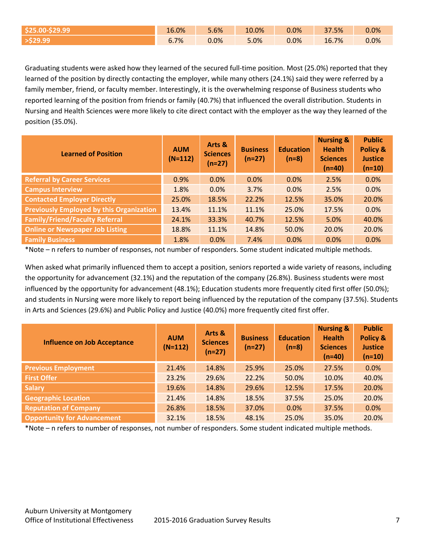| <b>SZ5.</b>     | 16.0% | 5.6% | 10.0% | 0.0% | 37.5% | 0.0% |
|-----------------|-------|------|-------|------|-------|------|
| <b>529.99</b> م | 6.7%  | 0.0% | 5.0%  | 0.0% | 16.7% | 0.0% |

Graduating students were asked how they learned of the secured full-time position. Most (25.0%) reported that they learned of the position by directly contacting the employer, while many others (24.1%) said they were referred by a family member, friend, or faculty member. Interestingly, it is the overwhelming response of Business students who reported learning of the position from friends or family (40.7%) that influenced the overall distribution. Students in Nursing and Health Sciences were more likely to cite direct contact with the employer as the way they learned of the position (35.0%).

| <b>Learned of Position</b>                      | <b>AUM</b><br>$(N=112)$ | Arts &<br><b>Sciences</b><br>$(n=27)$ | <b>Business</b><br>$(n=27)$ | <b>Education</b><br>$(n=8)$ | <b>Nursing &amp;</b><br><b>Health</b><br><b>Sciences</b><br>$(n=40)$ | <b>Public</b><br>Policy &<br><b>Justice</b><br>$(n=10)$ |
|-------------------------------------------------|-------------------------|---------------------------------------|-----------------------------|-----------------------------|----------------------------------------------------------------------|---------------------------------------------------------|
| <b>Referral by Career Services</b>              | 0.9%                    | $0.0\%$                               | 0.0%                        | 0.0%                        | 2.5%                                                                 | 0.0%                                                    |
| <b>Campus Interview</b>                         | 1.8%                    | 0.0%                                  | 3.7%                        | 0.0%                        | 2.5%                                                                 | 0.0%                                                    |
| <b>Contacted Employer Directly</b>              | 25.0%                   | 18.5%                                 | 22.2%                       | 12.5%                       | 35.0%                                                                | 20.0%                                                   |
| <b>Previously Employed by this Organization</b> | 13.4%                   | 11.1%                                 | 11.1%                       | 25.0%                       | 17.5%                                                                | 0.0%                                                    |
| <b>Family/Friend/Faculty Referral</b>           | 24.1%                   | 33.3%                                 | 40.7%                       | 12.5%                       | 5.0%                                                                 | 40.0%                                                   |
| <b>Online or Newspaper Job Listing</b>          | 18.8%                   | 11.1%                                 | 14.8%                       | 50.0%                       | 20.0%                                                                | 20.0%                                                   |
| <b>Family Business</b>                          | 1.8%                    | $0.0\%$                               | 7.4%                        | 0.0%                        | 0.0%                                                                 | 0.0%                                                    |

\*Note – n refers to number of responses, not number of responders. Some student indicated multiple methods.

When asked what primarily influenced them to accept a position, seniors reported a wide variety of reasons, including the opportunity for advancement (32.1%) and the reputation of the company (26.8%). Business students were most influenced by the opportunity for advancement (48.1%); Education students more frequently cited first offer (50.0%); and students in Nursing were more likely to report being influenced by the reputation of the company (37.5%). Students in Arts and Sciences (29.6%) and Public Policy and Justice (40.0%) more frequently cited first offer.

| <b>Influence on Job Acceptance</b> | <b>AUM</b><br>$(N=112)$ | Arts &<br><b>Sciences</b><br>$(n=27)$ | <b>Business</b><br>$(n=27)$ | <b>Education</b><br>$(n=8)$ | <b>Nursing &amp;</b><br><b>Health</b><br><b>Sciences</b><br>$(n=40)$ | <b>Public</b><br>Policy &<br><b>Justice</b><br>$(n=10)$ |
|------------------------------------|-------------------------|---------------------------------------|-----------------------------|-----------------------------|----------------------------------------------------------------------|---------------------------------------------------------|
| <b>Previous Employment</b>         | 21.4%                   | 14.8%                                 | 25.9%                       | 25.0%                       | 27.5%                                                                | 0.0%                                                    |
| <b>First Offer</b>                 | 23.2%                   | 29.6%                                 | 22.2%                       | 50.0%                       | 10.0%                                                                | 40.0%                                                   |
| <b>Salary</b>                      | 19.6%                   | 14.8%                                 | 29.6%                       | 12.5%                       | 17.5%                                                                | 20.0%                                                   |
| <b>Geographic Location</b>         | 21.4%                   | 14.8%                                 | 18.5%                       | 37.5%                       | 25.0%                                                                | 20.0%                                                   |
| <b>Reputation of Company</b>       | 26.8%                   | 18.5%                                 | 37.0%                       | 0.0%                        | 37.5%                                                                | 0.0%                                                    |
| <b>Opportunity for Advancement</b> | 32.1%                   | 18.5%                                 | 48.1%                       | 25.0%                       | 35.0%                                                                | 20.0%                                                   |

\*Note – n refers to number of responses, not number of responders. Some student indicated multiple methods.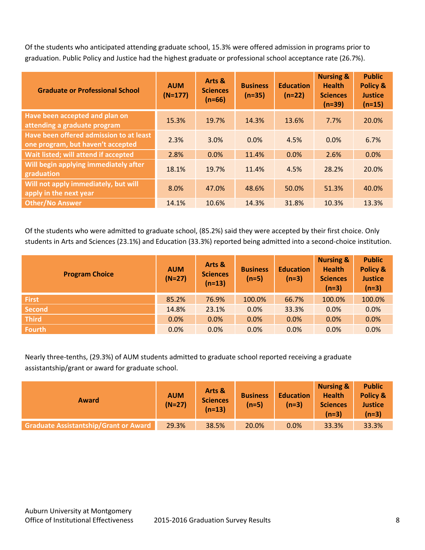Of the students who anticipated attending graduate school, 15.3% were offered admission in programs prior to graduation. Public Policy and Justice had the highest graduate or professional school acceptance rate (26.7%).

| <b>Graduate or Professional School</b>                                       | <b>AUM</b><br>$(N=177)$ | Arts &<br><b>Sciences</b><br>$(n=66)$ | <b>Business</b><br>$(n=35)$ | <b>Education</b><br>$(n=22)$ | <b>Nursing &amp;</b><br><b>Health</b><br><b>Sciences</b><br>$(n=39)$ | <b>Public</b><br>Policy &<br><b>Justice</b><br>$(n=15)$ |
|------------------------------------------------------------------------------|-------------------------|---------------------------------------|-----------------------------|------------------------------|----------------------------------------------------------------------|---------------------------------------------------------|
| Have been accepted and plan on<br>attending a graduate program               | 15.3%                   | 19.7%                                 | 14.3%                       | 13.6%                        | 7.7%                                                                 | 20.0%                                                   |
| Have been offered admission to at least<br>one program, but haven't accepted | 2.3%                    | 3.0%                                  | 0.0%                        | 4.5%                         | 0.0%                                                                 | 6.7%                                                    |
| Wait listed; will attend if accepted                                         | 2.8%                    | 0.0%                                  | 11.4%                       | 0.0%                         | 2.6%                                                                 | 0.0%                                                    |
| Will begin applying immediately after<br>graduation                          | 18.1%                   | 19.7%                                 | 11.4%                       | 4.5%                         | 28.2%                                                                | 20.0%                                                   |
| Will not apply immediately, but will<br>apply in the next year               | 8.0%                    | 47.0%                                 | 48.6%                       | 50.0%                        | 51.3%                                                                | 40.0%                                                   |
| <b>Other/No Answer</b>                                                       | 14.1%                   | 10.6%                                 | 14.3%                       | 31.8%                        | 10.3%                                                                | 13.3%                                                   |

Of the students who were admitted to graduate school, (85.2%) said they were accepted by their first choice. Only students in Arts and Sciences (23.1%) and Education (33.3%) reported being admitted into a second-choice institution.

| <b>Program Choice</b> | <b>AUM</b><br>$(N=27)$ | Arts &<br><b>Sciences</b><br>$(n=13)$ | <b>Business</b><br>$(n=5)$ | <b>Education</b><br>$(n=3)$ | <b>Nursing &amp;</b><br><b>Health</b><br><b>Sciences</b><br>$(n=3)$ | <b>Public</b><br>Policy &<br><b>Justice</b><br>$(n=3)$ |
|-----------------------|------------------------|---------------------------------------|----------------------------|-----------------------------|---------------------------------------------------------------------|--------------------------------------------------------|
| <b>First</b>          | 85.2%                  | 76.9%                                 | 100.0%                     | 66.7%                       | 100.0%                                                              | 100.0%                                                 |
| <b>Second</b>         | 14.8%                  | 23.1%                                 | 0.0%                       | 33.3%                       | 0.0%                                                                | 0.0%                                                   |
| <b>Third</b>          | 0.0%                   | $0.0\%$                               | 0.0%                       | 0.0%                        | 0.0%                                                                | 0.0%                                                   |
| <b>Fourth</b>         | 0.0%                   | 0.0%                                  | 0.0%                       | 0.0%                        | 0.0%                                                                | 0.0%                                                   |

Nearly three-tenths, (29.3%) of AUM students admitted to graduate school reported receiving a graduate assistantship/grant or award for graduate school.

| <b>Award</b>                                 | <b>AUM</b><br>$(N=27)$ | Arts &<br><b>Sciences</b><br>(n=13) | <b>Business</b><br>$(n=5)$ | <b>Education</b><br>$(n=3)$ | <b>Nursing &amp;</b><br><b>Health</b><br><b>Sciences</b><br>$(n=3)$ | <b>Public</b><br>Policy &<br><b>Justice</b><br>$(n=3)$ |
|----------------------------------------------|------------------------|-------------------------------------|----------------------------|-----------------------------|---------------------------------------------------------------------|--------------------------------------------------------|
| <b>Graduate Assistantship/Grant or Award</b> | 29.3%                  | 38.5%                               | 20.0%                      | 0.0%                        | 33.3%                                                               | 33.3%                                                  |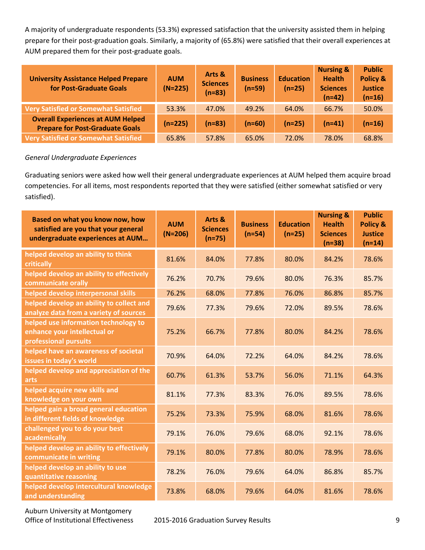A majority of undergraduate respondents (53.3%) expressed satisfaction that the university assisted them in helping prepare for their post-graduation goals. Similarly, a majority of (65.8%) were satisfied that their overall experiences at AUM prepared them for their post-graduate goals.

| <b>University Assistance Helped Prepare</b><br>for Post-Graduate Goals             | <b>AUM</b><br>$(N=225)$ | Arts &<br><b>Sciences</b><br>$(n=83)$ | <b>Business</b><br>$(n=59)$ | <b>Education</b><br>$(n=25)$ | <b>Nursing &amp;</b><br><b>Health</b><br><b>Sciences</b><br>$(n=42)$ | <b>Public</b><br>Policy &<br><b>Justice</b><br>$(n=16)$ |
|------------------------------------------------------------------------------------|-------------------------|---------------------------------------|-----------------------------|------------------------------|----------------------------------------------------------------------|---------------------------------------------------------|
| <b>Very Satisfied or Somewhat Satisfied</b>                                        | 53.3%                   | 47.0%                                 | 49.2%                       | 64.0%                        | 66.7%                                                                | 50.0%                                                   |
| <b>Overall Experiences at AUM Helped</b><br><b>Prepare for Post-Graduate Goals</b> | $(n=225)$               | $(n=83)$                              | $(n=60)$                    | $(n=25)$                     | $(n=41)$                                                             | $(n=16)$                                                |
| <b>Very Satisfied or Somewhat Satisfied</b>                                        | 65.8%                   | 57.8%                                 | 65.0%                       | 72.0%                        | 78.0%                                                                | 68.8%                                                   |

#### *General Undergraduate Experiences*

Graduating seniors were asked how well their general undergraduate experiences at AUM helped them acquire broad competencies. For all items, most respondents reported that they were satisfied (either somewhat satisfied or very satisfied).

| Based on what you know now, how<br>satisfied are you that your general<br>undergraduate experiences at AUM | <b>AUM</b><br>$(N=206)$ | Arts &<br><b>Sciences</b><br>$(n=75)$ | <b>Business</b><br>$(n=54)$ | <b>Education</b><br>$(n=25)$ | <b>Nursing &amp;</b><br><b>Health</b><br><b>Sciences</b><br>$(n=38)$ | <b>Public</b><br><b>Policy &amp;</b><br><b>Justice</b><br>$(n=14)$ |
|------------------------------------------------------------------------------------------------------------|-------------------------|---------------------------------------|-----------------------------|------------------------------|----------------------------------------------------------------------|--------------------------------------------------------------------|
| helped develop an ability to think<br>critically                                                           | 81.6%                   | 84.0%                                 | 77.8%                       | 80.0%                        | 84.2%                                                                | 78.6%                                                              |
| helped develop an ability to effectively<br>communicate orally                                             | 76.2%                   | 70.7%                                 | 79.6%                       | 80.0%                        | 76.3%                                                                | 85.7%                                                              |
| helped develop interpersonal skills                                                                        | 76.2%                   | 68.0%                                 | 77.8%                       | 76.0%                        | 86.8%                                                                | 85.7%                                                              |
| helped develop an ability to collect and<br>analyze data from a variety of sources                         | 79.6%                   | 77.3%                                 | 79.6%                       | 72.0%                        | 89.5%                                                                | 78.6%                                                              |
| helped use information technology to<br>enhance your intellectual or<br>professional pursuits              | 75.2%                   | 66.7%                                 | 77.8%                       | 80.0%                        | 84.2%                                                                | 78.6%                                                              |
| helped have an awareness of societal<br>issues in today's world                                            | 70.9%                   | 64.0%                                 | 72.2%                       | 64.0%                        | 84.2%                                                                | 78.6%                                                              |
| helped develop and appreciation of the<br>arts                                                             | 60.7%                   | 61.3%                                 | 53.7%                       | 56.0%                        | 71.1%                                                                | 64.3%                                                              |
| helped acquire new skills and<br>knowledge on your own                                                     | 81.1%                   | 77.3%                                 | 83.3%                       | 76.0%                        | 89.5%                                                                | 78.6%                                                              |
| helped gain a broad general education<br>in different fields of knowledge                                  | 75.2%                   | 73.3%                                 | 75.9%                       | 68.0%                        | 81.6%                                                                | 78.6%                                                              |
| challenged you to do your best<br>academically                                                             | 79.1%                   | 76.0%                                 | 79.6%                       | 68.0%                        | 92.1%                                                                | 78.6%                                                              |
| helped develop an ability to effectively<br>communicate in writing                                         | 79.1%                   | 80.0%                                 | 77.8%                       | 80.0%                        | 78.9%                                                                | 78.6%                                                              |
| helped develop an ability to use<br>quantitative reasoning                                                 | 78.2%                   | 76.0%                                 | 79.6%                       | 64.0%                        | 86.8%                                                                | 85.7%                                                              |
| helped develop intercultural knowledge<br>and understanding                                                | 73.8%                   | 68.0%                                 | 79.6%                       | 64.0%                        | 81.6%                                                                | 78.6%                                                              |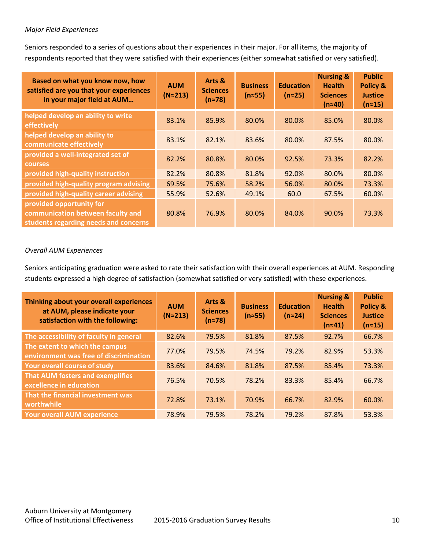#### *Major Field Experiences*

Seniors responded to a series of questions about their experiences in their major. For all items, the majority of respondents reported that they were satisfied with their experiences (either somewhat satisfied or very satisfied).

| Based on what you know now, how<br>satisfied are you that your experiences<br>in your major field at AUM | <b>AUM</b><br>$(N \approx 213)$ | Arts &<br><b>Sciences</b><br>$(n \approx 78)$ | <b>Business</b><br>$(n \approx 55)$ | <b>Education</b><br>$(n \approx 25)$ | <b>Nursing &amp;</b><br><b>Health</b><br><b>Sciences</b><br>$(n \approx 40)$ | <b>Public</b><br><b>Policy &amp;</b><br><b>Justice</b><br>$(n \approx 15)$ |
|----------------------------------------------------------------------------------------------------------|---------------------------------|-----------------------------------------------|-------------------------------------|--------------------------------------|------------------------------------------------------------------------------|----------------------------------------------------------------------------|
| helped develop an ability to write<br>effectively                                                        | 83.1%                           | 85.9%                                         | 80.0%                               | 80.0%                                | 85.0%                                                                        | 80.0%                                                                      |
| helped develop an ability to<br>communicate effectively                                                  | 83.1%                           | 82.1%                                         | 83.6%                               | 80.0%                                | 87.5%                                                                        | 80.0%                                                                      |
| provided a well-integrated set of<br><b>courses</b>                                                      | 82.2%                           | 80.8%                                         | 80.0%                               | 92.5%                                | 73.3%                                                                        | 82.2%                                                                      |
| provided high-quality instruction                                                                        | 82.2%                           | 80.8%                                         | 81.8%                               | 92.0%                                | 80.0%                                                                        | 80.0%                                                                      |
| provided high-quality program advising                                                                   | 69.5%                           | 75.6%                                         | 58.2%                               | 56.0%                                | 80.0%                                                                        | 73.3%                                                                      |
| provided high-quality career advising                                                                    | 55.9%                           | 52.6%                                         | 49.1%                               | 60.0                                 | 67.5%                                                                        | 60.0%                                                                      |
| provided opportunity for<br>communication between faculty and<br>students regarding needs and concerns   | 80.8%                           | 76.9%                                         | 80.0%                               | 84.0%                                | 90.0%                                                                        | 73.3%                                                                      |

#### *Overall AUM Experiences*

Seniors anticipating graduation were asked to rate their satisfaction with their overall experiences at AUM. Responding students expressed a high degree of satisfaction (somewhat satisfied or very satisfied) with these experiences.

| Thinking about your overall experiences<br>at AUM, please indicate your<br>satisfaction with the following: | <b>AUM</b><br>$(N \approx 213)$ | Arts &<br><b>Sciences</b><br>$(n \approx 78)$ | <b>Business</b><br>$(n \approx 55)$ | <b>Education</b><br>$(n \approx 24)$ | <b>Nursing &amp;</b><br><b>Health</b><br><b>Sciences</b><br>$(n \approx 41)$ | <b>Public</b><br><b>Policy &amp;</b><br><b>Justice</b><br>$(n \approx 15)$ |
|-------------------------------------------------------------------------------------------------------------|---------------------------------|-----------------------------------------------|-------------------------------------|--------------------------------------|------------------------------------------------------------------------------|----------------------------------------------------------------------------|
| The accessibility of faculty in general                                                                     | 82.6%                           | 79.5%                                         | 81.8%                               | 87.5%                                | 92.7%                                                                        | 66.7%                                                                      |
| The extent to which the campus<br>environment was free of discrimination                                    | 77.0%                           | 79.5%                                         | 74.5%                               | 79.2%                                | 82.9%                                                                        | 53.3%                                                                      |
| Your overall course of study                                                                                | 83.6%                           | 84.6%                                         | 81.8%                               | 87.5%                                | 85.4%                                                                        | 73.3%                                                                      |
| <b>That AUM fosters and exemplifies</b><br>excellence in education                                          | 76.5%                           | 70.5%                                         | 78.2%                               | 83.3%                                | 85.4%                                                                        | 66.7%                                                                      |
| That the financial investment was<br>worthwhile                                                             | 72.8%                           | 73.1%                                         | 70.9%                               | 66.7%                                | 82.9%                                                                        | 60.0%                                                                      |
| <b>Your overall AUM experience</b>                                                                          | 78.9%                           | 79.5%                                         | 78.2%                               | 79.2%                                | 87.8%                                                                        | 53.3%                                                                      |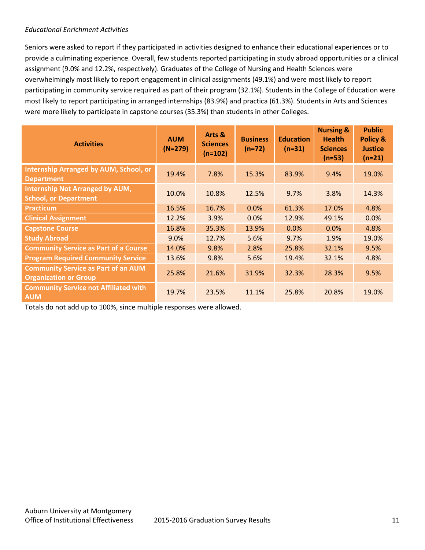#### *Educational Enrichment Activities*

Seniors were asked to report if they participated in activities designed to enhance their educational experiences or to provide a culminating experience. Overall, few students reported participating in study abroad opportunities or a clinical assignment (9.0% and 12.2%, respectively). Graduates of the College of Nursing and Health Sciences were overwhelmingly most likely to report engagement in clinical assignments (49.1%) and were most likely to report participating in community service required as part of their program (32.1%). Students in the College of Education were most likely to report participating in arranged internships (83.9%) and practica (61.3%). Students in Arts and Sciences were more likely to participate in capstone courses (35.3%) than students in other Colleges.

| <b>Activities</b>                                                          | <b>AUM</b><br>$(N=279)$ | Arts &<br><b>Sciences</b><br>$(n=102)$ | <b>Business</b><br>$(n=72)$ | <b>Education</b><br>$(n=31)$ | <b>Nursing &amp;</b><br><b>Health</b><br><b>Sciences</b><br>$(n=53)$ | <b>Public</b><br><b>Policy &amp;</b><br><b>Justice</b><br>$(n=21)$ |
|----------------------------------------------------------------------------|-------------------------|----------------------------------------|-----------------------------|------------------------------|----------------------------------------------------------------------|--------------------------------------------------------------------|
| <b>Internship Arranged by AUM, School, or</b><br><b>Department</b>         | 19.4%                   | 7.8%                                   | 15.3%                       | 83.9%                        | 9.4%                                                                 | 19.0%                                                              |
| <b>Internship Not Arranged by AUM,</b><br><b>School, or Department</b>     | 10.0%                   | 10.8%                                  | 12.5%                       | 9.7%                         | 3.8%                                                                 | 14.3%                                                              |
| <b>Practicum</b>                                                           | 16.5%                   | 16.7%                                  | 0.0%                        | 61.3%                        | 17.0%                                                                | 4.8%                                                               |
| <b>Clinical Assignment</b>                                                 | 12.2%                   | 3.9%                                   | 0.0%                        | 12.9%                        | 49.1%                                                                | 0.0%                                                               |
| <b>Capstone Course</b>                                                     | 16.8%                   | 35.3%                                  | 13.9%                       | 0.0%                         | 0.0%                                                                 | 4.8%                                                               |
| <b>Study Abroad</b>                                                        | 9.0%                    | 12.7%                                  | 5.6%                        | 9.7%                         | 1.9%                                                                 | 19.0%                                                              |
| <b>Community Service as Part of a Course</b>                               | 14.0%                   | 9.8%                                   | 2.8%                        | 25.8%                        | 32.1%                                                                | 9.5%                                                               |
| <b>Program Required Community Service</b>                                  | 13.6%                   | 9.8%                                   | 5.6%                        | 19.4%                        | 32.1%                                                                | 4.8%                                                               |
| <b>Community Service as Part of an AUM</b><br><b>Organization or Group</b> | 25.8%                   | 21.6%                                  | 31.9%                       | 32.3%                        | 28.3%                                                                | 9.5%                                                               |
| <b>Community Service not Affiliated with</b><br><b>AUM</b>                 | 19.7%                   | 23.5%                                  | 11.1%                       | 25.8%                        | 20.8%                                                                | 19.0%                                                              |

Totals do not add up to 100%, since multiple responses were allowed.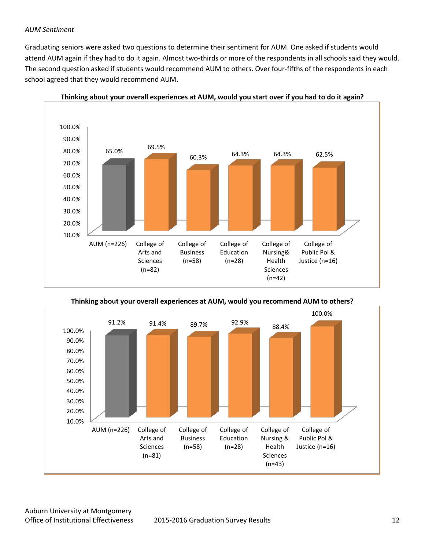#### *AUM Sentiment*

Graduating seniors were asked two questions to determine their sentiment for AUM. One asked if students would attend AUM again if they had to do it again. Almost two-thirds or more of the respondents in all schools said they would. The second question asked if students would recommend AUM to others. Over four-fifths of the respondents in each school agreed that they would recommend AUM.





**Thinking about your overall experiences at AUM, would you recommend AUM to others?**

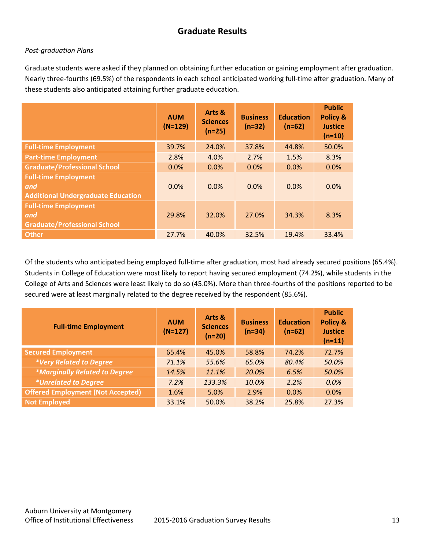# **Graduate Results**

#### *Post-graduation Plans*

Graduate students were asked if they planned on obtaining further education or gaining employment after graduation. Nearly three-fourths (69.5%) of the respondents in each school anticipated working full-time after graduation. Many of these students also anticipated attaining further graduate education.

|                                                                                 | <b>AUM</b><br>$(N=129)$ | Arts &<br><b>Sciences</b><br>$(n=25)$ | <b>Business</b><br>$(n=32)$ | <b>Education</b><br>$(n=62)$ | <b>Public</b><br><b>Policy &amp;</b><br><b>Justice</b><br>$(n=10)$ |
|---------------------------------------------------------------------------------|-------------------------|---------------------------------------|-----------------------------|------------------------------|--------------------------------------------------------------------|
| <b>Full-time Employment</b>                                                     | 39.7%                   | 24.0%                                 | 37.8%                       | 44.8%                        | 50.0%                                                              |
| <b>Part-time Employment</b>                                                     | 2.8%                    | 4.0%                                  | 2.7%                        | 1.5%                         | 8.3%                                                               |
| <b>Graduate/Professional School</b>                                             | 0.0%                    | 0.0%                                  | 0.0%                        | 0.0%                         | 0.0%                                                               |
| <b>Full-time Employment</b><br>and<br><b>Additional Undergraduate Education</b> | 0.0%                    | 0.0%                                  | 0.0%                        | 0.0%                         | 0.0%                                                               |
| <b>Full-time Employment</b><br>and<br><b>Graduate/Professional School</b>       | 29.8%                   | 32.0%                                 | 27.0%                       | 34.3%                        | 8.3%                                                               |
| <b>Other</b>                                                                    | 27.7%                   | 40.0%                                 | 32.5%                       | 19.4%                        | 33.4%                                                              |

Of the students who anticipated being employed full-time after graduation, most had already secured positions (65.4%). Students in College of Education were most likely to report having secured employment (74.2%), while students in the College of Arts and Sciences were least likely to do so (45.0%). More than three-fourths of the positions reported to be secured were at least marginally related to the degree received by the respondent (85.6%).

| <b>Full-time Employment</b>              | <b>AUM</b><br>$(N=127)$ | Arts &<br><b>Sciences</b><br>$(n=20)$ | <b>Business</b><br>$(n=34)$ | <b>Education</b><br>$(n=62)$ | <b>Public</b><br>Policy &<br><b>Justice</b><br>$(n=11)$ |
|------------------------------------------|-------------------------|---------------------------------------|-----------------------------|------------------------------|---------------------------------------------------------|
| <b>Secured Employment</b>                | 65.4%                   | 45.0%                                 | 58.8%                       | 74.2%                        | 72.7%                                                   |
| *Very Related to Degree                  | 71.1%                   | 55.6%                                 | 65.0%                       | 80.4%                        | 50.0%                                                   |
| *Marginally Related to Degree            | 14.5%                   | 11.1%                                 | 20.0%                       | 6.5%                         | 50.0%                                                   |
| <i>*Unrelated to Degree</i>              | 7.2%                    | 133.3%                                | 10.0%                       | 2.2%                         | 0.0%                                                    |
| <b>Offered Employment (Not Accepted)</b> | 1.6%                    | 5.0%                                  | 2.9%                        | 0.0%                         | 0.0%                                                    |
| <b>Not Employed</b>                      | 33.1%                   | 50.0%                                 | 38.2%                       | 25.8%                        | 27.3%                                                   |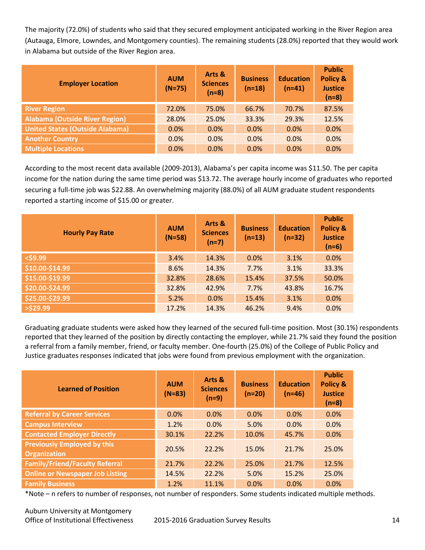The majority (72.0%) of students who said that they secured employment anticipated working in the River Region area (Autauga, Elmore, Lowndes, and Montgomery counties). The remaining students (28.0%) reported that they would work in Alabama but outside of the River Region area.

| <b>Employer Location</b>               | <b>AUM</b><br>$(N=75)$ | Arts &<br><b>Sciences</b><br>$(n=8)$ | <b>Business</b><br>$(n=18)$ | <b>Education</b><br>$(n=41)$ | <b>Public</b><br><b>Policy &amp;</b><br><b>Justice</b><br>$(n=8)$ |
|----------------------------------------|------------------------|--------------------------------------|-----------------------------|------------------------------|-------------------------------------------------------------------|
| <b>River Region</b>                    | 72.0%                  | 75.0%                                | 66.7%                       | 70.7%                        | 87.5%                                                             |
| <b>Alabama (Outside River Region)</b>  | 28.0%                  | 25.0%                                | 33.3%                       | 29.3%                        | 12.5%                                                             |
| <b>United States (Outside Alabama)</b> | 0.0%                   | 0.0%                                 | 0.0%                        | 0.0%                         | 0.0%                                                              |
| <b>Another Country</b>                 | 0.0%                   | 0.0%                                 | 0.0%                        | 0.0%                         | 0.0%                                                              |
| <b>Multiple Locations</b>              | 0.0%                   | 0.0%                                 | 0.0%                        | 0.0%                         | 0.0%                                                              |

According to the most recent data available (2009-2013), Alabama's per capita income was \$11.50. The per capita income for the nation during the same time period was \$13.72. The average hourly income of graduates who reported securing a full-time job was \$22.88. An overwhelming majority (88.0%) of all AUM graduate student respondents reported a starting income of \$15.00 or greater.

| <b>Hourly Pay Rate</b> | <b>AUM</b><br>$(N=58)$ | Arts &<br><b>Sciences</b><br>$(n=7)$ | <b>Business</b><br>$(n=13)$ | <b>Education</b><br>$(n=32)$ | <b>Public</b><br><b>Policy &amp;</b><br><b>Justice</b><br>$(n=6)$ |
|------------------------|------------------------|--------------------------------------|-----------------------------|------------------------------|-------------------------------------------------------------------|
| $<$ \$9.99             | 3.4%                   | 14.3%                                | 0.0%                        | 3.1%                         | 0.0%                                                              |
| \$10.00-\$14.99        | 8.6%                   | 14.3%                                | 7.7%                        | 3.1%                         | 33.3%                                                             |
| \$15.00-\$19.99        | 32.8%                  | 28.6%                                | 15.4%                       | 37.5%                        | 50.0%                                                             |
| \$20.00-\$24.99        | 32.8%                  | 42.9%                                | 7.7%                        | 43.8%                        | 16.7%                                                             |
| \$25.00-\$29.99        | 5.2%                   | 0.0%                                 | 15.4%                       | 3.1%                         | 0.0%                                                              |
| $>$ \$29.99            | 17.2%                  | 14.3%                                | 46.2%                       | 9.4%                         | 0.0%                                                              |

Graduating graduate students were asked how they learned of the secured full-time position. Most (30.1%) respondents reported that they learned of the position by directly contacting the employer, while 21.7% said they found the position a referral from a family member, friend, or faculty member. One-fourth (25.0%) of the College of Public Policy and Justice graduates responses indicated that jobs were found from previous employment with the organization.

| <b>Learned of Position</b>                                | <b>AUM</b><br>$(N=83)$ | Arts &<br><b>Sciences</b><br>$(n=9)$ | <b>Business</b><br>$(n=20)$ | <b>Education</b><br>$(n=46)$ | <b>Public</b><br><b>Policy &amp;</b><br><b>Justice</b><br>$(n=8)$ |
|-----------------------------------------------------------|------------------------|--------------------------------------|-----------------------------|------------------------------|-------------------------------------------------------------------|
| <b>Referral by Career Services</b>                        | 0.0%                   | 0.0%                                 | 0.0%                        | 0.0%                         | 0.0%                                                              |
| <b>Campus Interview</b>                                   | 1.2%                   | 0.0%                                 | 5.0%                        | 0.0%                         | 0.0%                                                              |
| <b>Contacted Employer Directly</b>                        | 30.1%                  | 22.2%                                | 10.0%                       | 45.7%                        | 0.0%                                                              |
| <b>Previously Employed by this</b><br><b>Organization</b> | 20.5%                  | 22.2%                                | 15.0%                       | 21.7%                        | 25.0%                                                             |
| <b>Family/Friend/Faculty Referral</b>                     | 21.7%                  | 22.2%                                | 25.0%                       | 21.7%                        | 12.5%                                                             |
| <b>Online or Newspaper Job Listing</b>                    | 14.5%                  | 22.2%                                | 5.0%                        | 15.2%                        | 25.0%                                                             |
| <b>Family Business</b>                                    | 1.2%                   | 11.1%                                | 0.0%                        | 0.0%                         | 0.0%                                                              |

\*Note – n refers to number of responses, not number of responders. Some students indicated multiple methods.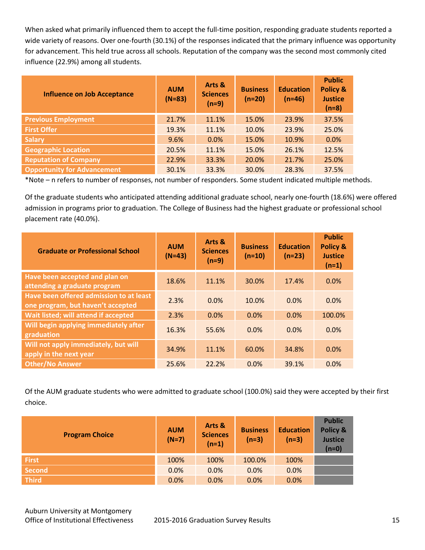When asked what primarily influenced them to accept the full-time position, responding graduate students reported a wide variety of reasons. Over one-fourth (30.1%) of the responses indicated that the primary influence was opportunity for advancement. This held true across all schools. Reputation of the company was the second most commonly cited influence (22.9%) among all students.

| <b>Influence on Job Acceptance</b> | <b>AUM</b><br>$(N=83)$ | Arts &<br><b>Sciences</b><br>$(n=9)$ | <b>Business</b><br>$(n=20)$ | <b>Education</b><br>$(n=46)$ | <b>Public</b><br><b>Policy &amp;</b><br><b>Justice</b><br>$(n=8)$ |
|------------------------------------|------------------------|--------------------------------------|-----------------------------|------------------------------|-------------------------------------------------------------------|
| <b>Previous Employment</b>         | 21.7%                  | 11.1%                                | 15.0%                       | 23.9%                        | 37.5%                                                             |
| <b>First Offer</b>                 | 19.3%                  | 11.1%                                | 10.0%                       | 23.9%                        | 25.0%                                                             |
| <b>Salary</b>                      | 9.6%                   | 0.0%                                 | 15.0%                       | 10.9%                        | 0.0%                                                              |
| <b>Geographic Location</b>         | 20.5%                  | 11.1%                                | 15.0%                       | 26.1%                        | 12.5%                                                             |
| <b>Reputation of Company</b>       | 22.9%                  | 33.3%                                | 20.0%                       | 21.7%                        | 25.0%                                                             |
| <b>Opportunity for Advancement</b> | 30.1%                  | 33.3%                                | 30.0%                       | 28.3%                        | 37.5%                                                             |

\*Note – n refers to number of responses, not number of responders. Some student indicated multiple methods.

Of the graduate students who anticipated attending additional graduate school, nearly one-fourth (18.6%) were offered admission in programs prior to graduation. The College of Business had the highest graduate or professional school placement rate (40.0%).

| <b>Graduate or Professional School</b>                                       | <b>AUM</b><br>$(N=43)$ | Arts &<br><b>Sciences</b><br>$(n=9)$ | <b>Business</b><br>$(n=10)$ | <b>Education</b><br>$(n=23)$ | <b>Public</b><br><b>Policy &amp;</b><br><b>Justice</b><br>$(n=1)$ |
|------------------------------------------------------------------------------|------------------------|--------------------------------------|-----------------------------|------------------------------|-------------------------------------------------------------------|
| <b>Have been accepted and plan on</b><br>attending a graduate program        | 18.6%                  | 11.1%                                | 30.0%                       | 17.4%                        | 0.0%                                                              |
| Have been offered admission to at least<br>one program, but haven't accepted | 2.3%                   | 0.0%                                 | 10.0%                       | 0.0%                         | 0.0%                                                              |
| Wait listed; will attend if accepted                                         | 2.3%                   | 0.0%                                 | 0.0%                        | 0.0%                         | 100.0%                                                            |
| Will begin applying immediately after<br>graduation                          | 16.3%                  | 55.6%                                | 0.0%                        | 0.0%                         | 0.0%                                                              |
| Will not apply immediately, but will<br>apply in the next year               | 34.9%                  | 11.1%                                | 60.0%                       | 34.8%                        | 0.0%                                                              |
| <b>Other/No Answer</b>                                                       | 25.6%                  | 22.2%                                | 0.0%                        | 39.1%                        | 0.0%                                                              |

Of the AUM graduate students who were admitted to graduate school (100.0%) said they were accepted by their first choice.

| <b>Program Choice</b> | <b>AUM</b><br>$(N=7)$ | Arts &<br><b>Sciences</b><br>$(n=1)$ | <b>Business</b><br>$(n=3)$ | <b>Education</b><br>$(n=3)$ | <b>Public</b><br>Policy &<br><b>Justice</b><br>$(n=0)$ |
|-----------------------|-----------------------|--------------------------------------|----------------------------|-----------------------------|--------------------------------------------------------|
| <b>First</b>          | 100%                  | 100%                                 | 100.0%                     | 100%                        |                                                        |
| <b>Second</b>         | 0.0%                  | 0.0%                                 | 0.0%                       | 0.0%                        |                                                        |
| <b>Third</b>          | 0.0%                  | 0.0%                                 | 0.0%                       | 0.0%                        |                                                        |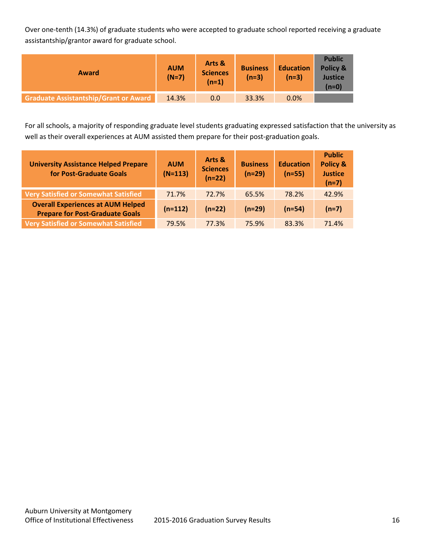Over one-tenth (14.3%) of graduate students who were accepted to graduate school reported receiving a graduate assistantship/grantor award for graduate school.

| Award                                        | <b>AUM</b><br>$(N=7)$ | Arts &<br><b>Sciences</b><br>(n=1) | <b>Business</b><br>$(n=3)$ | <b>Education</b><br>$(n=3)$ | <b>Public</b><br>Policy &<br><b>Justice</b><br>$(n=0)$ |
|----------------------------------------------|-----------------------|------------------------------------|----------------------------|-----------------------------|--------------------------------------------------------|
| <b>Graduate Assistantship/Grant or Award</b> | 14.3%                 | 0.0                                | 33.3%                      | 0.0%                        |                                                        |

For all schools, a majority of responding graduate level students graduating expressed satisfaction that the university as well as their overall experiences at AUM assisted them prepare for their post-graduation goals.

| <b>University Assistance Helped Prepare</b><br>for Post-Graduate Goals             | <b>AUM</b><br>$(N=113)$ | Arts &<br><b>Sciences</b><br>$(n=22)$ | <b>Business</b><br>$(n=29)$ | <b>Education</b><br>$(n=55)$ | <b>Public</b><br><b>Policy &amp;</b><br><b>Justice</b><br>$(n=7)$ |
|------------------------------------------------------------------------------------|-------------------------|---------------------------------------|-----------------------------|------------------------------|-------------------------------------------------------------------|
| <b>Very Satisfied or Somewhat Satisfied</b>                                        | 71.7%                   | 72.7%                                 | 65.5%                       | 78.2%                        | 42.9%                                                             |
| <b>Overall Experiences at AUM Helped</b><br><b>Prepare for Post-Graduate Goals</b> | $(n=112)$               | $(n=22)$                              | $(n=29)$                    | $(n=54)$                     | $(n=7)$                                                           |
| <b>Very Satisfied or Somewhat Satisfied</b>                                        | 79.5%                   | 77.3%                                 | 75.9%                       | 83.3%                        | 71.4%                                                             |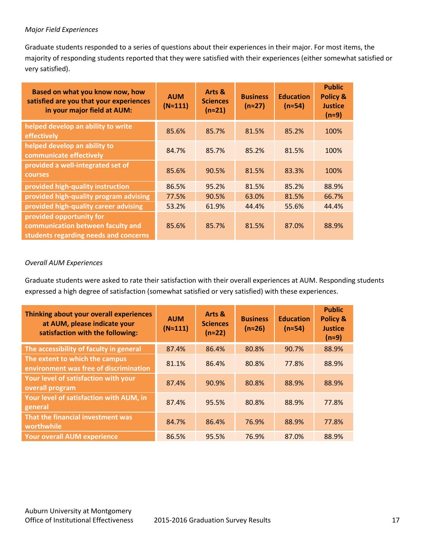#### *Major Field Experiences*

Graduate students responded to a series of questions about their experiences in their major. For most items, the majority of responding students reported that they were satisfied with their experiences (either somewhat satisfied or very satisfied).

| Based on what you know now, how<br>satisfied are you that your experiences<br>in your major field at AUM: | <b>AUM</b><br>$(N \approx 111)$ | Arts &<br><b>Sciences</b><br>$(n \approx 21)$ | <b>Business</b><br>$(n \approx 27)$ | <b>Education</b><br>$(n \approx 54)$ | <b>Public</b><br><b>Policy &amp;</b><br><b>Justice</b><br>$(n=9)$ |
|-----------------------------------------------------------------------------------------------------------|---------------------------------|-----------------------------------------------|-------------------------------------|--------------------------------------|-------------------------------------------------------------------|
| helped develop an ability to write<br>effectively                                                         | 85.6%                           | 85.7%                                         | 81.5%                               | 85.2%                                | 100%                                                              |
| helped develop an ability to<br>communicate effectively                                                   | 84.7%                           | 85.7%                                         | 85.2%                               | 81.5%                                | 100%                                                              |
| provided a well-integrated set of<br><b>courses</b>                                                       | 85.6%                           | 90.5%                                         | 81.5%                               | 83.3%                                | 100%                                                              |
| provided high-quality instruction                                                                         | 86.5%                           | 95.2%                                         | 81.5%                               | 85.2%                                | 88.9%                                                             |
| provided high-quality program advising                                                                    | 77.5%                           | 90.5%                                         | 63.0%                               | 81.5%                                | 66.7%                                                             |
| provided high-quality career advising                                                                     | 53.2%                           | 61.9%                                         | 44.4%                               | 55.6%                                | 44.4%                                                             |
| provided opportunity for<br>communication between faculty and<br>students regarding needs and concerns    | 85.6%                           | 85.7%                                         | 81.5%                               | 87.0%                                | 88.9%                                                             |

#### *Overall AUM Experiences*

Graduate students were asked to rate their satisfaction with their overall experiences at AUM. Responding students expressed a high degree of satisfaction (somewhat satisfied or very satisfied) with these experiences.

| Thinking about your overall experiences<br>at AUM, please indicate your<br>satisfaction with the following: | <b>AUM</b><br>$(N \approx 111)$ | Arts &<br><b>Sciences</b><br>$(n \approx 22)$ | <b>Business</b><br>$(n \approx 26)$ | <b>Education</b><br>$(n \approx 54)$ | <b>Public</b><br><b>Policy &amp;</b><br><b>Justice</b><br>$(n=9)$ |
|-------------------------------------------------------------------------------------------------------------|---------------------------------|-----------------------------------------------|-------------------------------------|--------------------------------------|-------------------------------------------------------------------|
| The accessibility of faculty in general                                                                     | 87.4%                           | 86.4%                                         | 80.8%                               | 90.7%                                | 88.9%                                                             |
| The extent to which the campus<br>environment was free of discrimination                                    | 81.1%                           | 86.4%                                         | 80.8%                               | 77.8%                                | 88.9%                                                             |
| Your level of satisfaction with your<br>overall program                                                     | 87.4%                           | 90.9%                                         | 80.8%                               | 88.9%                                | 88.9%                                                             |
| Your level of satisfaction with AUM, in<br>general                                                          | 87.4%                           | 95.5%                                         | 80.8%                               | 88.9%                                | 77.8%                                                             |
| That the financial investment was<br>worthwhile                                                             | 84.7%                           | 86.4%                                         | 76.9%                               | 88.9%                                | 77.8%                                                             |
| <b>Your overall AUM experience</b>                                                                          | 86.5%                           | 95.5%                                         | 76.9%                               | 87.0%                                | 88.9%                                                             |